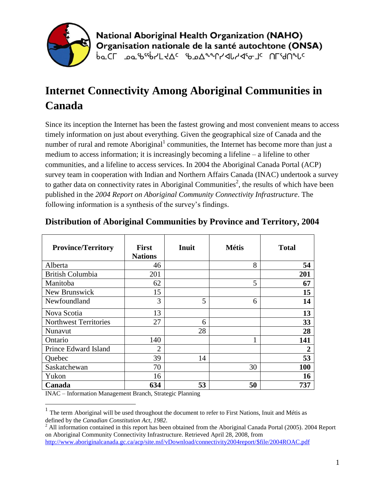

**National Aboriginal Health Organization (NAHO)** Organisation nationale de la santé autochtone (ONSA) pocl de pupper poder de la de la ULIAU-C

# **Internet Connectivity Among Aboriginal Communities in Canada**

Since its inception the Internet has been the fastest growing and most convenient means to access timely information on just about everything. Given the geographical size of Canada and the number of rural and remote Aboriginal<sup>1</sup> communities, the Internet has become more than just a medium to access information; it is increasingly becoming a lifeline – a lifeline to other communities, and a lifeline to access services. In 2004 the Aboriginal Canada Portal (ACP) survey team in cooperation with Indian and Northern Affairs Canada (INAC) undertook a survey to gather data on connectivity rates in Aboriginal Communities<sup>2</sup>, the results of which have been published in the *2004 Report on Aboriginal Community Connectivity Infrastructure*. The following information is a synthesis of the survey's findings.

| <b>Province/Territory</b>    | <b>First</b><br><b>Nations</b> | Inuit | <b>Métis</b> | <b>Total</b>     |
|------------------------------|--------------------------------|-------|--------------|------------------|
| Alberta                      | 46                             |       | 8            | 54               |
| <b>British Columbia</b>      | 201                            |       |              | 201              |
| Manitoba                     | 62                             |       | 5            | 67               |
| New Brunswick                | 15                             |       |              | 15               |
| Newfoundland                 | 3                              | 5     | 6            | 14               |
| Nova Scotia                  | 13                             |       |              | 13               |
| <b>Northwest Territories</b> | 27                             | 6     |              | 33               |
| Nunavut                      |                                | 28    |              | 28               |
| Ontario                      | 140                            |       | 1            | 141              |
| Prince Edward Island         | $\overline{2}$                 |       |              | $\boldsymbol{2}$ |
| Quebec                       | 39                             | 14    |              | 53               |
| Saskatchewan                 | 70                             |       | 30           | 100              |
| Yukon                        | 16                             |       |              | 16               |
| Canada                       | 634                            | 53    | 50           | 737              |

### **Distribution of Aboriginal Communities by Province and Territory, 2004**

INAC – Information Management Branch, Strategic Planning

 $\overline{a}$ 

 $<sup>1</sup>$  The term Aboriginal will be used throughout the document to refer to First Nations, Inuit and Métis as</sup> defined by the *Canadian Constitution Act, 1982.*

 $2$  All information contained in this report has been obtained from the Aboriginal Canada Portal (2005). 2004 Report on Aboriginal Community Connectivity Infrastructure. Retrieved April 28, 2008, from [http://www.aboriginalcanada.gc.ca/acp/site.nsf/vDownload/connectivity2004report/\\$file/2004ROAC.pdf](http://www.aboriginalcanada.gc.ca/acp/site.nsf/vDownload/connectivity2004report/$file/2004ROAC.pdf)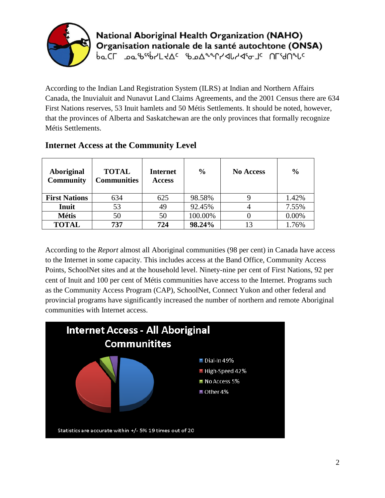

**National Aboriginal Health Organization (NAHO)** Organisation nationale de la santé autochtone (ONSA) baCL Da puplyde poderlydede Jc ULAUJAC

According to the Indian Land Registration System (ILRS) at Indian and Northern Affairs Canada, the Inuvialuit and Nunavut Land Claims Agreements, and the 2001 Census there are 634 First Nations reserves, 53 Inuit hamlets and 50 Métis Settlements. It should be noted, however, that the provinces of Alberta and Saskatchewan are the only provinces that formally recognize Métis Settlements.

| <b>Aboriginal</b><br><b>Community</b> | <b>TOTAL</b><br><b>Communities</b> | <b>Internet</b><br><b>Access</b> | $\frac{0}{0}$ | <b>No Access</b> | $\frac{0}{0}$ |
|---------------------------------------|------------------------------------|----------------------------------|---------------|------------------|---------------|
| <b>First Nations</b>                  | 634                                | 625                              | 98.58%        |                  | 1.42%         |
| Inuit                                 | 53                                 | 49                               | 92.45%        |                  | 7.55%         |
| <b>Métis</b>                          | 50                                 | 50                               | 100.00%       |                  | 0.00%         |
| <b>TOTAL</b>                          | 737                                | 724                              | 98.24%        |                  | 1.76%         |

### **Internet Access at the Community Level**

According to the *Report* almost all Aboriginal communities (98 per cent) in Canada have access to the Internet in some capacity. This includes access at the Band Office, Community Access Points, SchoolNet sites and at the household level. Ninety-nine per cent of First Nations, 92 per cent of Inuit and 100 per cent of Métis communities have access to the Internet. Programs such as the Community Access Program (CAP), SchoolNet, Connect Yukon and other federal and provincial programs have significantly increased the number of northern and remote Aboriginal communities with Internet access.

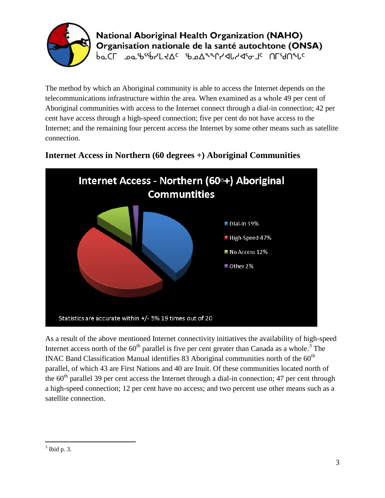

**National Aboriginal Health Organization (NAHO)** Organisation nationale de la santé autochtone (ONSA) baCL Dapelped to Danne Andre ULAU-A

The method by which an Aboriginal community is able to access the Internet depends on the telecommunications infrastructure within the area. When examined as a whole 49 per cent of Aboriginal communities with access to the Internet connect through a dial-in connection; 42 per cent have access through a high-speed connection; five per cent do not have access to the Internet; and the remaining four percent access the Internet by some other means such as satellite connection.



# **Internet Access in Northern (60 degrees +) Aboriginal Communities**

As a result of the above mentioned Internet connectivity initiatives the availability of high-speed Internet access north of the  $60<sup>th</sup>$  parallel is five per cent greater than Canada as a whole.<sup>3</sup> The INAC Band Classification Manual identifies 83 Aboriginal communities north of the  $60<sup>th</sup>$ parallel, of which 43 are First Nations and 40 are Inuit. Of these communities located north of the  $60<sup>th</sup>$  parallel 39 per cent access the Internet through a dial-in connection; 47 per cent through a high-speed connection; 12 per cent have no access; and two percent use other means such as a satellite connection.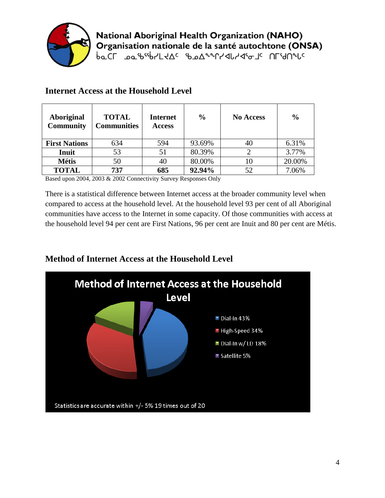

| <b>Aboriginal</b><br><b>Community</b> | <b>TOTAL</b><br><b>Communities</b> | <b>Internet</b><br><b>Access</b> | $\frac{0}{0}$ | <b>No Access</b> | $\frac{0}{0}$ |
|---------------------------------------|------------------------------------|----------------------------------|---------------|------------------|---------------|
| <b>First Nations</b>                  | 634                                | 594                              | 93.69%        | 40               | 6.31%         |
| Inuit                                 | 53                                 | 51                               | 80.39%        |                  | 3.77%         |
| <b>Métis</b>                          | 50                                 | 40                               | 80.00%        | 10               | 20.00%        |
| <b>TOTAL</b>                          | 737                                | 685                              | 92.94%        | 52               | 7.06%         |

## **Internet Access at the Household Level**

Based upon 2004, 2003 & 2002 Connectivity Survey Responses Only

There is a statistical difference between Internet access at the broader community level when compared to access at the household level. At the household level 93 per cent of all Aboriginal communities have access to the Internet in some capacity. Of those communities with access at the household level 94 per cent are First Nations, 96 per cent are Inuit and 80 per cent are Métis.

## **Method of Internet Access at the Household Level**